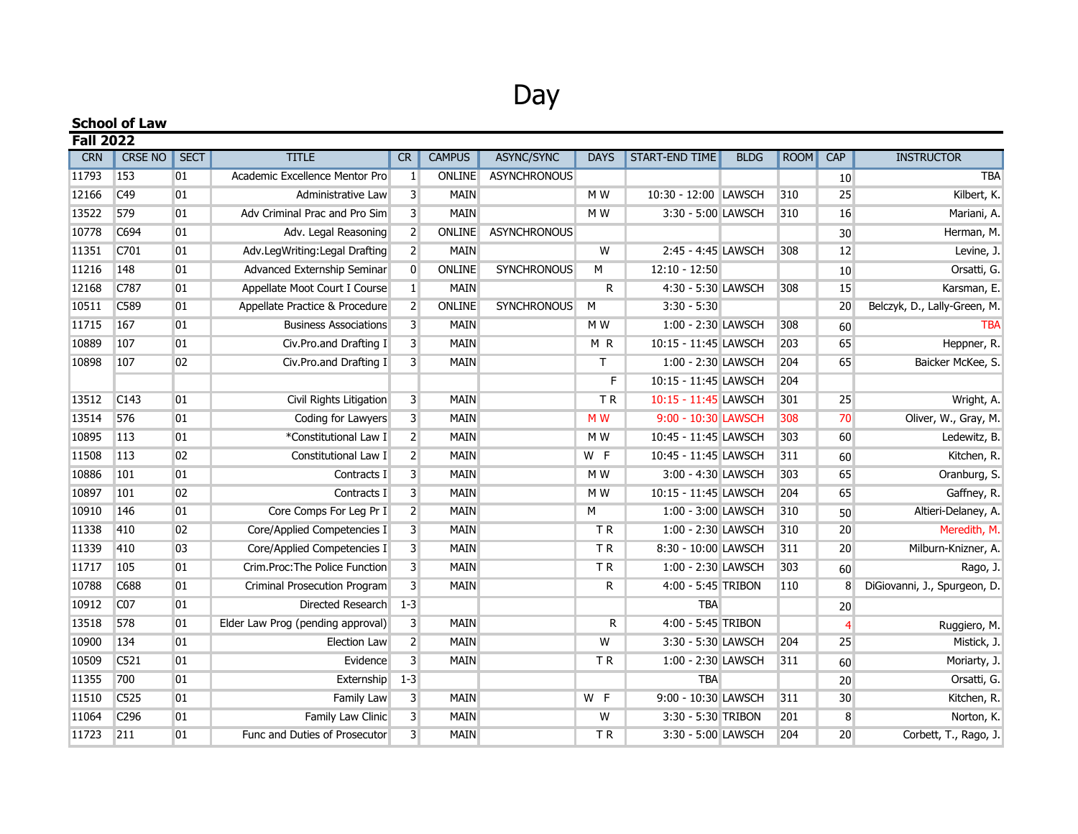## Day

| <b>School of Law</b><br><b>Fall 2022</b> |                 |              |                                   |                         |               |                     |                |                      |  |     |            |                              |
|------------------------------------------|-----------------|--------------|-----------------------------------|-------------------------|---------------|---------------------|----------------|----------------------|--|-----|------------|------------------------------|
|                                          |                 |              |                                   |                         |               |                     |                |                      |  |     | <b>CRN</b> | <b>CRSE NO</b>               |
| 11793                                    | 153             | 01           | Academic Excellence Mentor Pro    | $\vert$ 1               | <b>ONLINE</b> | <b>ASYNCHRONOUS</b> |                |                      |  |     | 10         | <b>TBA</b>                   |
| 12166                                    | C49             | 01           | Administrative Law                | $\overline{3}$          | <b>MAIN</b>   |                     | M W            | 10:30 - 12:00 LAWSCH |  | 310 | 25         | Kilbert, K.                  |
| 13522                                    | 579             | 01           | Adv Criminal Prac and Pro Sim     | $\overline{3}$          | <b>MAIN</b>   |                     | M W            | 3:30 - 5:00 LAWSCH   |  | 310 | 16         | Mariani, A.                  |
| 10778                                    | C694            | 01           | Adv. Legal Reasoning              | $\overline{2}$          | ONLINE        | <b>ASYNCHRONOUS</b> |                |                      |  |     | $30\,$     | Herman, M.                   |
| 11351                                    | C701            | 01           | Adv.LegWriting:Legal Drafting     | 2                       | <b>MAIN</b>   |                     | W              | 2:45 - 4:45 LAWSCH   |  | 308 | 12         | Levine, J.                   |
| 11216                                    | 148             | 01           | Advanced Externship Seminar       | $\overline{0}$          | ONLINE        | <b>SYNCHRONOUS</b>  | M              | $12:10 - 12:50$      |  |     | 10         | Orsatti, G.                  |
| 12168                                    | C787            | 01           | Appellate Moot Court I Course     | $\vert 1 \vert$         | MAIN          |                     | $\mathsf{R}$   | 4:30 - 5:30 LAWSCH   |  | 308 | 15         | Karsman, E.                  |
| 10511                                    | C589            | 01           | Appellate Practice & Procedure    | $\overline{2}$          | ONLINE        | <b>SYNCHRONOUS</b>  | M              | $3:30 - 5:30$        |  |     | 20         | Belczyk, D., Lally-Green, M. |
| 11715                                    | 167             | 01           | <b>Business Associations</b>      | $\overline{3}$          | <b>MAIN</b>   |                     | M W            | 1:00 - 2:30 LAWSCH   |  | 308 | 60         | <b>TBA</b>                   |
| 10889                                    | 107             | 01           | Civ.Pro.and Drafting I            | $\overline{3}$          | <b>MAIN</b>   |                     | MR             | 10:15 - 11:45 LAWSCH |  | 203 | 65         | Heppner, R.                  |
| 10898                                    | 107             | 02           | Civ.Pro.and Drafting I            | $\overline{3}$          | <b>MAIN</b>   |                     | T.             | 1:00 - 2:30 LAWSCH   |  | 204 | 65         | Baicker McKee, S.            |
|                                          |                 |              |                                   |                         |               |                     | F              | 10:15 - 11:45 LAWSCH |  | 204 |            |                              |
| 13512                                    | C143            | 01           | Civil Rights Litigation           | $\overline{3}$          | MAIN          |                     | <b>TR</b>      | 10:15 - 11:45 LAWSCH |  | 301 | 25         | Wright, A.                   |
| 13514                                    | 576             | 01           | Coding for Lawyers                | $\overline{3}$          | <b>MAIN</b>   |                     | M <sub>W</sub> | 9:00 - 10:30 LAWSCH  |  | 308 | 70         | Oliver, W., Gray, M.         |
| 10895                                    | 113             | 01           | *Constitutional Law I             | $\overline{2}$          | <b>MAIN</b>   |                     | M W            | 10:45 - 11:45 LAWSCH |  | 303 | 60         | Ledewitz, B.                 |
| 11508                                    | 113             | 02           | Constitutional Law I              | $\overline{2}$          | <b>MAIN</b>   |                     | W F            | 10:45 - 11:45 LAWSCH |  | 311 | 60         | Kitchen, R.                  |
| 10886                                    | 101             | 01           | Contracts I                       | $\overline{\mathbf{3}}$ | <b>MAIN</b>   |                     | M W            | 3:00 - 4:30 LAWSCH   |  | 303 | 65         | Oranburg, S.                 |
| 10897                                    | 101             | 02           | Contracts I                       | $\overline{\mathbf{3}}$ | MAIN          |                     | M W            | 10:15 - 11:45 LAWSCH |  | 204 | 65         | Gaffney, R.                  |
| 10910                                    | 146             | 01           | Core Comps For Leg Pr I           | 2                       | <b>MAIN</b>   |                     | м              | 1:00 - 3:00 LAWSCH   |  | 310 | 50         | Altieri-Delaney, A.          |
| 11338                                    | 410             | 02           | Core/Applied Competencies I       | $\overline{\mathbf{3}}$ | <b>MAIN</b>   |                     | <b>TR</b>      | 1:00 - 2:30 LAWSCH   |  | 310 | 20         | Meredith, M.                 |
| 11339                                    | 410             | 03           | Core/Applied Competencies I       | $\overline{3}$          | <b>MAIN</b>   |                     | TR             | 8:30 - 10:00 LAWSCH  |  | 311 | 20         | Milburn-Knizner, A.          |
| 11717                                    | 105             | 01           | Crim.Proc: The Police Function    | $\overline{\mathbf{3}}$ | <b>MAIN</b>   |                     | TR <sub></sub> | 1:00 - 2:30 LAWSCH   |  | 303 | 60         | Rago, J.                     |
| 10788                                    | C688            | 01           | Criminal Prosecution Program      | $\overline{3}$          | <b>MAIN</b>   |                     | R              | 4:00 - 5:45 TRIBON   |  | 110 | 8          | DiGiovanni, J., Spurgeon, D. |
| 10912                                    | C <sub>07</sub> | 01           | Directed Research                 | $1 - 3$                 |               |                     |                | <b>TBA</b>           |  |     | $20\,$     |                              |
| 13518                                    | 578             | 01           | Elder Law Prog (pending approval) | $\overline{3}$          | <b>MAIN</b>   |                     | R              | 4:00 - 5:45 TRIBON   |  |     | 4          | Ruggiero, M.                 |
| 10900                                    | 134             | 01           | <b>Election Law</b>               | $\overline{2}$          | <b>MAIN</b>   |                     | W              | 3:30 - 5:30 LAWSCH   |  | 204 | 25         | Mistick, J.                  |
| 10509                                    | C521            | 01           | Evidence                          | $\overline{3}$          | <b>MAIN</b>   |                     | TR             | 1:00 - 2:30 LAWSCH   |  | 311 | 60         | Moriarty, J.                 |
| 11355                                    | 700             | $ 01\rangle$ | Externship                        | $1 - 3$                 |               |                     |                | <b>TBA</b>           |  |     | 20         | Orsatti, G.                  |
| 11510                                    | C525            | 01           | Family Law                        | $\overline{3}$          | <b>MAIN</b>   |                     | W F            | 9:00 - 10:30 LAWSCH  |  | 311 | 30         | Kitchen, R.                  |
| 11064                                    | C296            | 01           | Family Law Clinic                 | $\overline{3}$          | <b>MAIN</b>   |                     | W              | 3:30 - 5:30 TRIBON   |  | 201 | 8          | Norton, K.                   |
| 11723                                    | 211             | 01           | Func and Duties of Prosecutor     | $\overline{3}$          | <b>MAIN</b>   |                     | ΤR             | 3:30 - 5:00 LAWSCH   |  | 204 | 20         | Corbett, T., Rago, J.        |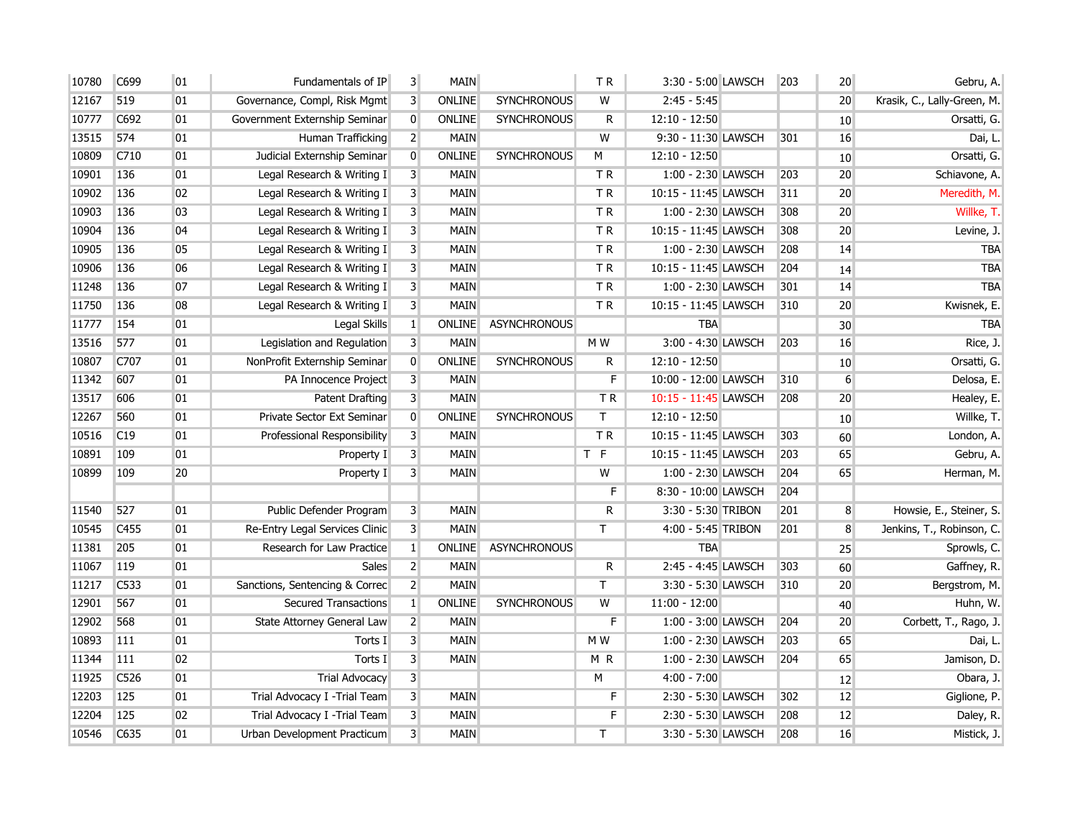| 10780 | C699             | 01 | Fundamentals of IP             | 3 <sup>1</sup>          | <b>MAIN</b>   |                     | <b>TR</b>               | 3:30 - 5:00 LAWSCH   | 203 | 20 <sup>°</sup> | Gebru, A.                   |
|-------|------------------|----|--------------------------------|-------------------------|---------------|---------------------|-------------------------|----------------------|-----|-----------------|-----------------------------|
| 12167 | 519              | 01 | Governance, Compl, Risk Mgmt   | 3                       | ONLINE        | <b>SYNCHRONOUS</b>  | W                       | $2:45 - 5:45$        |     | 20 <sup>°</sup> | Krasik, C., Lally-Green, M. |
| 10777 | C692             | 01 | Government Externship Seminar  | $\overline{0}$          | ONLINE        | <b>SYNCHRONOUS</b>  | R                       | $12:10 - 12:50$      |     | 10              | Orsatti, G.                 |
| 13515 | 574              | 01 | Human Trafficking              | 2 <sup>1</sup>          | <b>MAIN</b>   |                     | W                       | 9:30 - 11:30 LAWSCH  | 301 | 16              | Dai, L.                     |
| 10809 | C710             | 01 | Judicial Externship Seminar    | $\mathbf 0$             | ONLINE        | <b>SYNCHRONOUS</b>  | M                       | $12:10 - 12:50$      |     | 10              | Orsatti, G.                 |
| 10901 | 136              | 01 | Legal Research & Writing I     | $\overline{3}$          | <b>MAIN</b>   |                     | TR.                     | 1:00 - 2:30 LAWSCH   | 203 | 20              | Schiavone, A.               |
| 10902 | 136              | 02 | Legal Research & Writing I     | 3 <sup>1</sup>          | <b>MAIN</b>   |                     | TR.                     | 10:15 - 11:45 LAWSCH | 311 | 20              | Meredith, M.                |
| 10903 | 136              | 03 | Legal Research & Writing I     | $\overline{3}$          | <b>MAIN</b>   |                     | TR.                     | 1:00 - 2:30 LAWSCH   | 308 | 20              | Willke, T.                  |
| 10904 | 136              | 04 | Legal Research & Writing I     | $\overline{3}$          | <b>MAIN</b>   |                     | <b>TR</b>               | 10:15 - 11:45 LAWSCH | 308 | 20              | Levine, J.                  |
| 10905 | 136              | 05 | Legal Research & Writing I     | $\overline{\mathbf{3}}$ | <b>MAIN</b>   |                     | TR.                     | 1:00 - 2:30 LAWSCH   | 208 | 14              | <b>TBA</b>                  |
| 10906 | 136              | 06 | Legal Research & Writing I     | $\overline{\mathbf{3}}$ | <b>MAIN</b>   |                     | TR.                     | 10:15 - 11:45 LAWSCH | 204 | 14              | <b>TBA</b>                  |
| 11248 | 136              | 07 | Legal Research & Writing I     | $\overline{3}$          | <b>MAIN</b>   |                     | TR                      | 1:00 - 2:30 LAWSCH   | 301 | 14              | <b>TBA</b>                  |
| 11750 | 136              | 08 | Legal Research & Writing I     | $\overline{3}$          | <b>MAIN</b>   |                     | <b>TR</b>               | 10:15 - 11:45 LAWSCH | 310 | 20 <sup>°</sup> | Kwisnek, E.                 |
| 11777 | 154              | 01 | <b>Legal Skills</b>            | $\mathbf{1}$            | <b>ONLINE</b> | <b>ASYNCHRONOUS</b> |                         | <b>TBA</b>           |     | 30              | <b>TBA</b>                  |
| 13516 | 577              | 01 | Legislation and Regulation     | 3 <sup>1</sup>          | <b>MAIN</b>   |                     | M <sub>W</sub>          | 3:00 - 4:30 LAWSCH   | 203 | 16              | Rice, J.                    |
| 10807 | C707             | 01 | NonProfit Externship Seminar   | $\overline{0}$          | <b>ONLINE</b> | <b>SYNCHRONOUS</b>  | R                       | $12:10 - 12:50$      |     | 10              | Orsatti, G.                 |
| 11342 | 607              | 01 | PA Innocence Project           | $\mathbf{3}$            | <b>MAIN</b>   |                     | F                       | 10:00 - 12:00 LAWSCH | 310 | $6 \overline{}$ | Delosa, E.                  |
| 13517 | 606              | 01 | Patent Drafting                | $\overline{3}$          | <b>MAIN</b>   |                     | TR.                     | 10:15 - 11:45 LAWSCH | 208 | 20              | Healey, E.                  |
| 12267 | 560              | 01 | Private Sector Ext Seminar     | $\overline{0}$          | ONLINE        | <b>SYNCHRONOUS</b>  | $\mathsf{T}$            | $12:10 - 12:50$      |     | 10 <sup>1</sup> | Willke, T.                  |
| 10516 | C19              | 01 | Professional Responsibility    | $\overline{\mathbf{3}}$ | <b>MAIN</b>   |                     | TR.                     | 10:15 - 11:45 LAWSCH | 303 | 60              | London, A.                  |
| 10891 | 109              | 01 | Property I                     | $\overline{3}$          | <b>MAIN</b>   |                     | $T$ F                   | 10:15 - 11:45 LAWSCH | 203 | 65              | Gebru, A.                   |
| 10899 | 109              | 20 | Property I                     | $\overline{3}$          | <b>MAIN</b>   |                     | W                       | 1:00 - 2:30 LAWSCH   | 204 | 65              | Herman, M.                  |
|       |                  |    |                                |                         |               |                     | F                       | 8:30 - 10:00 LAWSCH  | 204 |                 |                             |
| 11540 | 527              | 01 | Public Defender Program        | 3 <sup>1</sup>          | MAIN          |                     | R                       | 3:30 - 5:30 TRIBON   | 201 | 8               | Howsie, E., Steiner, S.     |
| 10545 | C <sub>455</sub> | 01 | Re-Entry Legal Services Clinic | 3 <sup>1</sup>          | <b>MAIN</b>   |                     | $\mathsf{T}$            | 4:00 - 5:45 TRIBON   | 201 | 8               | Jenkins, T., Robinson, C.   |
| 11381 | 205              | 01 | Research for Law Practice      | $\mathbf{1}$            | <b>ONLINE</b> | <b>ASYNCHRONOUS</b> |                         | <b>TBA</b>           |     | 25              | Sprowls, C.                 |
| 11067 | 119              | 01 | <b>Sales</b>                   | $\overline{2}$          | <b>MAIN</b>   |                     | $\mathsf{R}$            | 2:45 - 4:45 LAWSCH   | 303 | 60              | Gaffney, R.                 |
| 11217 | C533             | 01 | Sanctions, Sentencing & Correc | $\overline{2}$          | <b>MAIN</b>   |                     | $\mathsf{T}$            | 3:30 - 5:30 LAWSCH   | 310 | 20              | Bergstrom, M.               |
| 12901 | 567              | 01 | <b>Secured Transactions</b>    | $\mathbf{1}$            | ONLINE        | <b>SYNCHRONOUS</b>  | $\overline{\mathsf{W}}$ | $11:00 - 12:00$      |     | 40              | Huhn, W.                    |
| 12902 | 568              | 01 | State Attorney General Law     | $\overline{2}$          | <b>MAIN</b>   |                     | F                       | 1:00 - 3:00 LAWSCH   | 204 | 20              | Corbett, T., Rago, J.       |
| 10893 | 111              | 01 | Torts I                        | $\overline{3}$          | <b>MAIN</b>   |                     | M W                     | 1:00 - 2:30 LAWSCH   | 203 | 65              | Dai, $L$ .                  |
| 11344 | 111              | 02 | Torts I                        | $\overline{3}$          | <b>MAIN</b>   |                     | MR                      | 1:00 - 2:30 LAWSCH   | 204 | 65              | Jamison, D.                 |
| 11925 | C526             | 01 | <b>Trial Advocacy</b>          | $\overline{3}$          |               |                     | М                       | $4:00 - 7:00$        |     | 12              | Obara, J.                   |
| 12203 | 125              | 01 | Trial Advocacy I -Trial Team   | $\overline{3}$          | <b>MAIN</b>   |                     | F                       | 2:30 - 5:30 LAWSCH   | 302 | 12              | Giglione, P.                |
| 12204 | 125              | 02 | Trial Advocacy I - Trial Team  | 3 <sup>1</sup>          | <b>MAIN</b>   |                     | F                       | 2:30 - 5:30 LAWSCH   | 208 | 12              | Daley, R.                   |
| 10546 | C635             | 01 | Urban Development Practicum    | $\overline{3}$          | <b>MAIN</b>   |                     | T                       | 3:30 - 5:30 LAWSCH   | 208 | 16              | Mistick, J.                 |